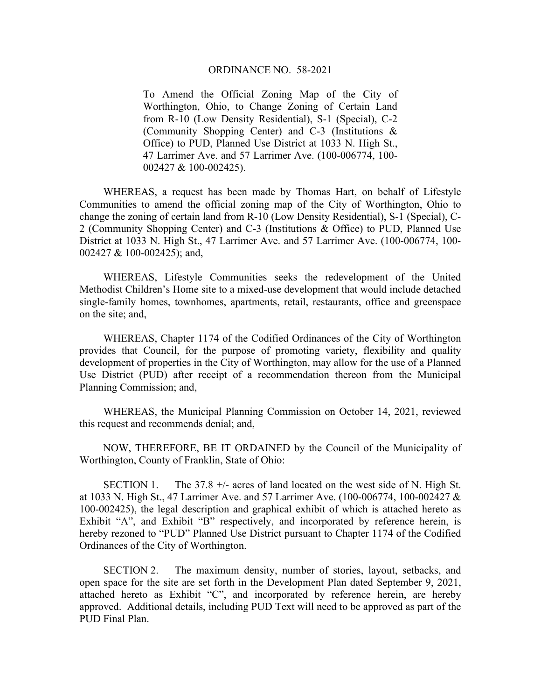## ORDINANCE NO. 58-2021

To Amend the Official Zoning Map of the City of Worthington, Ohio, to Change Zoning of Certain Land from R-10 (Low Density Residential), S-1 (Special), C-2 (Community Shopping Center) and C-3 (Institutions & Office) to PUD, Planned Use District at 1033 N. High St., 47 Larrimer Ave. and 57 Larrimer Ave. (100-006774, 100- 002427 & 100-002425).

WHEREAS, a request has been made by Thomas Hart, on behalf of Lifestyle Communities to amend the official zoning map of the City of Worthington, Ohio to change the zoning of certain land from R-10 (Low Density Residential), S-1 (Special), C-2 (Community Shopping Center) and C-3 (Institutions & Office) to PUD, Planned Use District at 1033 N. High St., 47 Larrimer Ave. and 57 Larrimer Ave. (100-006774, 100- 002427 & 100-002425); and,

WHEREAS, Lifestyle Communities seeks the redevelopment of the United Methodist Children's Home site to a mixed-use development that would include detached single-family homes, townhomes, apartments, retail, restaurants, office and greenspace on the site; and,

WHEREAS, Chapter 1174 of the Codified Ordinances of the City of Worthington provides that Council, for the purpose of promoting variety, flexibility and quality development of properties in the City of Worthington, may allow for the use of a Planned Use District (PUD) after receipt of a recommendation thereon from the Municipal Planning Commission; and,

WHEREAS, the Municipal Planning Commission on October 14, 2021, reviewed this request and recommends denial; and,

NOW, THEREFORE, BE IT ORDAINED by the Council of the Municipality of Worthington, County of Franklin, State of Ohio:

SECTION 1. The 37.8  $+\prime$ - acres of land located on the west side of N. High St. at 1033 N. High St., 47 Larrimer Ave. and 57 Larrimer Ave. (100-006774, 100-002427 & 100-002425), the legal description and graphical exhibit of which is attached hereto as Exhibit "A", and Exhibit "B" respectively, and incorporated by reference herein, is hereby rezoned to "PUD" Planned Use District pursuant to Chapter 1174 of the Codified Ordinances of the City of Worthington.

SECTION 2. The maximum density, number of stories, layout, setbacks, and open space for the site are set forth in the Development Plan dated September 9, 2021, attached hereto as Exhibit "C", and incorporated by reference herein, are hereby approved. Additional details, including PUD Text will need to be approved as part of the PUD Final Plan.